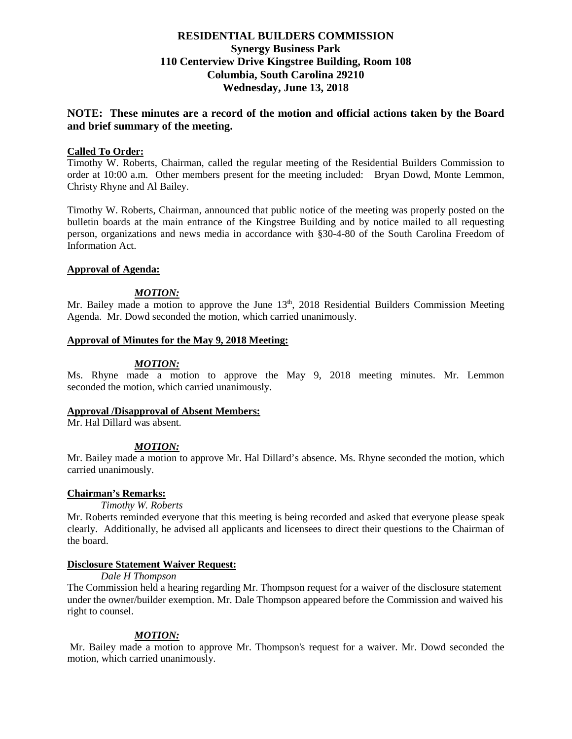# **RESIDENTIAL BUILDERS COMMISSION Synergy Business Park 110 Centerview Drive Kingstree Building, Room 108 Columbia, South Carolina 29210 Wednesday, June 13, 2018**

# **NOTE: These minutes are a record of the motion and official actions taken by the Board and brief summary of the meeting.**

## **Called To Order:**

Timothy W. Roberts, Chairman, called the regular meeting of the Residential Builders Commission to order at 10:00 a.m. Other members present for the meeting included: Bryan Dowd, Monte Lemmon, Christy Rhyne and Al Bailey.

Timothy W. Roberts, Chairman, announced that public notice of the meeting was properly posted on the bulletin boards at the main entrance of the Kingstree Building and by notice mailed to all requesting person, organizations and news media in accordance with §30-4-80 of the South Carolina Freedom of Information Act.

#### **Approval of Agenda:**

#### *MOTION:*

Mr. Bailey made a motion to approve the June  $13<sup>th</sup>$ , 2018 Residential Builders Commission Meeting Agenda. Mr. Dowd seconded the motion, which carried unanimously.

#### **Approval of Minutes for the May 9, 2018 Meeting:**

#### *MOTION:*

Ms. Rhyne made a motion to approve the May 9, 2018 meeting minutes. Mr. Lemmon seconded the motion, which carried unanimously.

#### **Approval /Disapproval of Absent Members:**

Mr. Hal Dillard was absent.

## *MOTION:*

Mr. Bailey made a motion to approve Mr. Hal Dillard's absence. Ms. Rhyne seconded the motion, which carried unanimously.

#### **Chairman's Remarks:**

*Timothy W. Roberts*

Mr. Roberts reminded everyone that this meeting is being recorded and asked that everyone please speak clearly. Additionally, he advised all applicants and licensees to direct their questions to the Chairman of the board.

#### **Disclosure Statement Waiver Request:**

*Dale H Thompson*

The Commission held a hearing regarding Mr. Thompson request for a waiver of the disclosure statement under the owner/builder exemption. Mr. Dale Thompson appeared before the Commission and waived his right to counsel.

## *MOTION:*

Mr. Bailey made a motion to approve Mr. Thompson's request for a waiver. Mr. Dowd seconded the motion, which carried unanimously.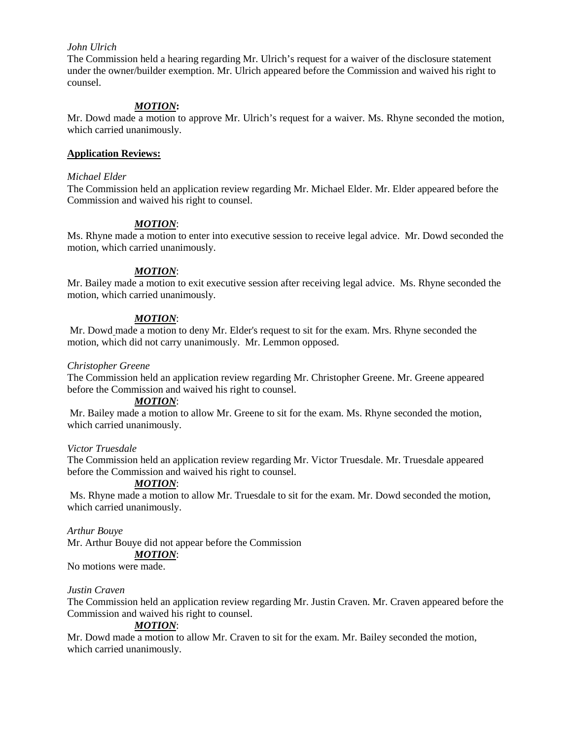# *John Ulrich*

The Commission held a hearing regarding Mr. Ulrich's request for a waiver of the disclosure statement under the owner/builder exemption. Mr. Ulrich appeared before the Commission and waived his right to counsel.

## *MOTION***:**

Mr. Dowd made a motion to approve Mr. Ulrich's request for a waiver. Ms. Rhyne seconded the motion, which carried unanimously.

## **Application Reviews:**

#### *Michael Elder*

The Commission held an application review regarding Mr. Michael Elder. Mr. Elder appeared before the Commission and waived his right to counsel.

# *MOTION*:

Ms. Rhyne made a motion to enter into executive session to receive legal advice. Mr. Dowd seconded the motion, which carried unanimously.

# *MOTION*:

Mr. Bailey made a motion to exit executive session after receiving legal advice. Ms. Rhyne seconded the motion, which carried unanimously.

# *MOTION*:

Mr. Dowd made a motion to deny Mr. Elder's request to sit for the exam. Mrs. Rhyne seconded the motion, which did not carry unanimously. Mr. Lemmon opposed.

## *Christopher Greene*

The Commission held an application review regarding Mr. Christopher Greene. Mr. Greene appeared before the Commission and waived his right to counsel.

## *MOTION*:

Mr. Bailey made a motion to allow Mr. Greene to sit for the exam. Ms. Rhyne seconded the motion, which carried unanimously.

## *Victor Truesdale*

The Commission held an application review regarding Mr. Victor Truesdale. Mr. Truesdale appeared before the Commission and waived his right to counsel.

## *MOTION*:

Ms. Rhyne made a motion to allow Mr. Truesdale to sit for the exam. Mr. Dowd seconded the motion, which carried unanimously.

*Arthur Bouye*  Mr. Arthur Bouye did not appear before the Commission *MOTION*:

No motions were made.

## *Justin Craven*

The Commission held an application review regarding Mr. Justin Craven. Mr. Craven appeared before the Commission and waived his right to counsel.

## *MOTION*:

Mr. Dowd made a motion to allow Mr. Craven to sit for the exam. Mr. Bailey seconded the motion, which carried unanimously.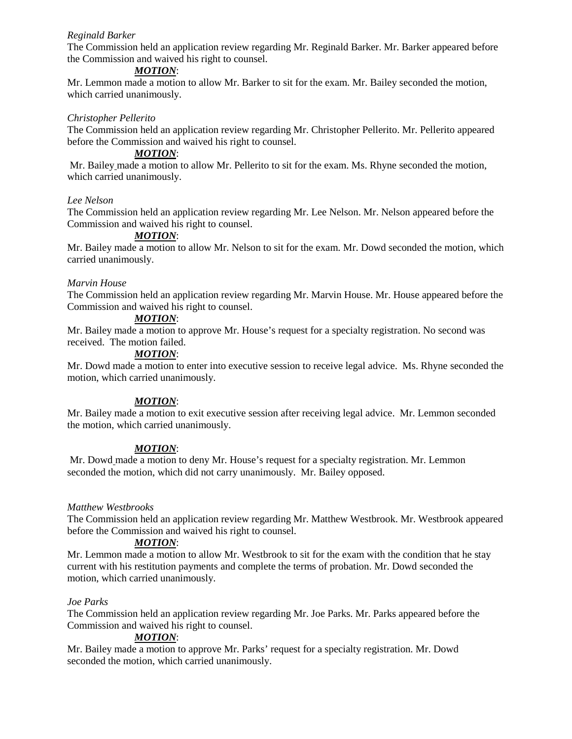# *Reginald Barker*

The Commission held an application review regarding Mr. Reginald Barker. Mr. Barker appeared before the Commission and waived his right to counsel.

#### *MOTION*:

Mr. Lemmon made a motion to allow Mr. Barker to sit for the exam. Mr. Bailey seconded the motion, which carried unanimously.

#### *Christopher Pellerito*

The Commission held an application review regarding Mr. Christopher Pellerito. Mr. Pellerito appeared before the Commission and waived his right to counsel.

## *MOTION*:

Mr. Bailey made a motion to allow Mr. Pellerito to sit for the exam. Ms. Rhyne seconded the motion, which carried unanimously.

#### *Lee Nelson*

The Commission held an application review regarding Mr. Lee Nelson. Mr. Nelson appeared before the Commission and waived his right to counsel.

# *MOTION*:

Mr. Bailey made a motion to allow Mr. Nelson to sit for the exam. Mr. Dowd seconded the motion, which carried unanimously.

#### *Marvin House*

The Commission held an application review regarding Mr. Marvin House. Mr. House appeared before the Commission and waived his right to counsel.

#### *MOTION*:

Mr. Bailey made a motion to approve Mr. House's request for a specialty registration. No second was received. The motion failed.

# *MOTION*:

Mr. Dowd made a motion to enter into executive session to receive legal advice. Ms. Rhyne seconded the motion, which carried unanimously.

## *MOTION*:

Mr. Bailey made a motion to exit executive session after receiving legal advice. Mr. Lemmon seconded the motion, which carried unanimously.

## *MOTION*:

Mr. Dowd made a motion to deny Mr. House's request for a specialty registration. Mr. Lemmon seconded the motion, which did not carry unanimously. Mr. Bailey opposed.

## *Matthew Westbrooks*

The Commission held an application review regarding Mr. Matthew Westbrook. Mr. Westbrook appeared before the Commission and waived his right to counsel.

## *MOTION*:

Mr. Lemmon made a motion to allow Mr. Westbrook to sit for the exam with the condition that he stay current with his restitution payments and complete the terms of probation. Mr. Dowd seconded the motion, which carried unanimously.

## *Joe Parks*

The Commission held an application review regarding Mr. Joe Parks. Mr. Parks appeared before the Commission and waived his right to counsel.

## *MOTION*:

Mr. Bailey made a motion to approve Mr. Parks' request for a specialty registration. Mr. Dowd seconded the motion, which carried unanimously.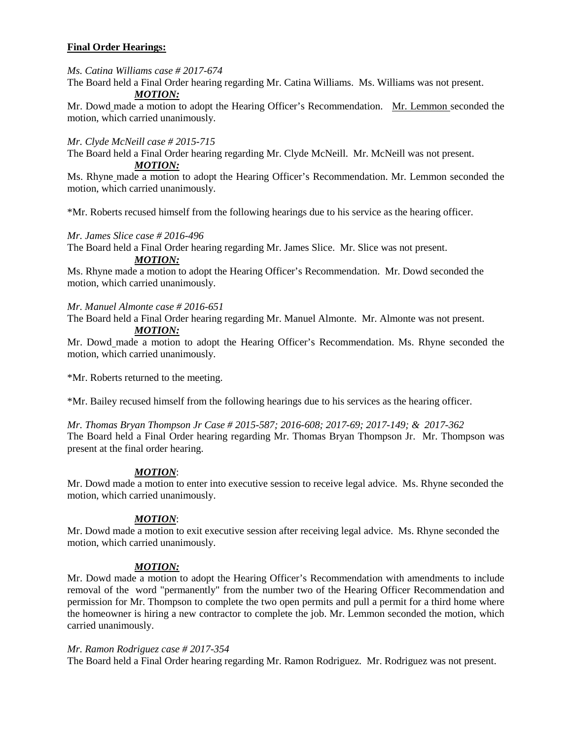# **Final Order Hearings:**

*Ms. Catina Williams case # 2017-674*

The Board held a Final Order hearing regarding Mr. Catina Williams. Ms. Williams was not present.

# *MOTION:*

Mr. Dowd made a motion to adopt the Hearing Officer's Recommendation. Mr. Lemmon seconded the motion, which carried unanimously.

# *Mr. Clyde McNeill case # 2015-715*

The Board held a Final Order hearing regarding Mr. Clyde McNeill. Mr. McNeill was not present. *MOTION:*

Ms. Rhyne made a motion to adopt the Hearing Officer's Recommendation. Mr. Lemmon seconded the motion, which carried unanimously.

\*Mr. Roberts recused himself from the following hearings due to his service as the hearing officer.

*Mr. James Slice case # 2016-496*

The Board held a Final Order hearing regarding Mr. James Slice. Mr. Slice was not present.

# *MOTION:*

Ms. Rhyne made a motion to adopt the Hearing Officer's Recommendation. Mr. Dowd seconded the motion, which carried unanimously.

## *Mr. Manuel Almonte case # 2016-651*

The Board held a Final Order hearing regarding Mr. Manuel Almonte. Mr. Almonte was not present.

## *MOTION:*

Mr. Dowd made a motion to adopt the Hearing Officer's Recommendation. Ms. Rhyne seconded the motion, which carried unanimously.

\*Mr. Roberts returned to the meeting.

\*Mr. Bailey recused himself from the following hearings due to his services as the hearing officer.

*Mr. Thomas Bryan Thompson Jr Case # 2015-587; 2016-608; 2017-69; 2017-149; & 2017-362* The Board held a Final Order hearing regarding Mr. Thomas Bryan Thompson Jr. Mr. Thompson was present at the final order hearing.

# *MOTION*:

Mr. Dowd made a motion to enter into executive session to receive legal advice. Ms. Rhyne seconded the motion, which carried unanimously.

## *MOTION*:

Mr. Dowd made a motion to exit executive session after receiving legal advice. Ms. Rhyne seconded the motion, which carried unanimously.

# *MOTION:*

Mr. Dowd made a motion to adopt the Hearing Officer's Recommendation with amendments to include removal of the word "permanently" from the number two of the Hearing Officer Recommendation and permission for Mr. Thompson to complete the two open permits and pull a permit for a third home where the homeowner is hiring a new contractor to complete the job. Mr. Lemmon seconded the motion, which carried unanimously.

## *Mr. Ramon Rodriguez case # 2017-354*

The Board held a Final Order hearing regarding Mr. Ramon Rodriguez. Mr. Rodriguez was not present.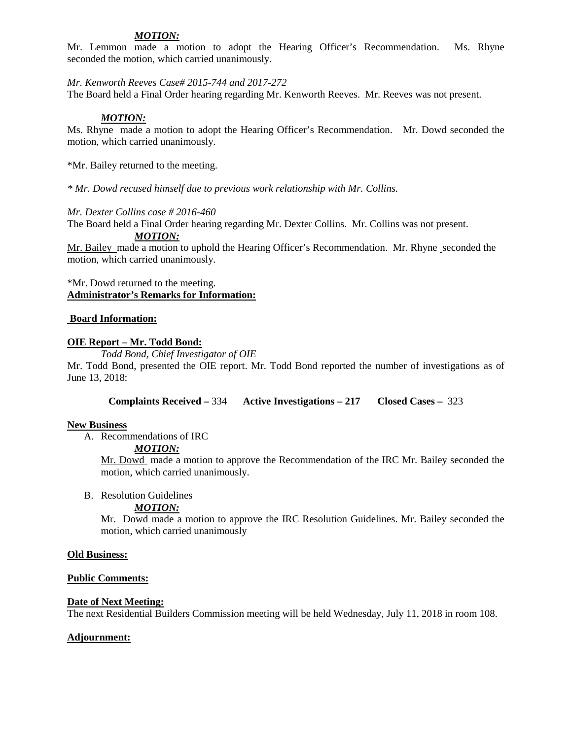# *MOTION:*

Mr. Lemmon made a motion to adopt the Hearing Officer's Recommendation. Ms. Rhyne seconded the motion, which carried unanimously.

*Mr. Kenworth Reeves Case# 2015-744 and 2017-272*

The Board held a Final Order hearing regarding Mr. Kenworth Reeves. Mr. Reeves was not present.

## *MOTION:*

Ms. Rhyne made a motion to adopt the Hearing Officer's Recommendation. Mr. Dowd seconded the motion, which carried unanimously.

\*Mr. Bailey returned to the meeting.

*\* Mr. Dowd recused himself due to previous work relationship with Mr. Collins.*

#### *Mr. Dexter Collins case # 2016-460*

The Board held a Final Order hearing regarding Mr. Dexter Collins. Mr. Collins was not present.

*MOTION:*

Mr. Bailey made a motion to uphold the Hearing Officer's Recommendation. Mr. Rhyne seconded the motion, which carried unanimously.

## \*Mr. Dowd returned to the meeting. **Administrator's Remarks for Information:**

## **Board Information:**

## **OIE Report – Mr. Todd Bond:**

*Todd Bond, Chief Investigator of OIE*

Mr. Todd Bond, presented the OIE report. Mr. Todd Bond reported the number of investigations as of June 13, 2018:

**Complaints Received –** 334 **Active Investigations – 217 Closed Cases –** 323

## **New Business**

A. Recommendations of IRC

*MOTION:*

Mr. Dowd made a motion to approve the Recommendation of the IRC Mr. Bailey seconded the motion, which carried unanimously.

## B. Resolution Guidelines

## *MOTION:*

Mr. Dowd made a motion to approve the IRC Resolution Guidelines. Mr. Bailey seconded the motion, which carried unanimously

#### **Old Business:**

## **Public Comments:**

## **Date of Next Meeting:**

The next Residential Builders Commission meeting will be held Wednesday, July 11, 2018 in room 108.

## **Adjournment:**